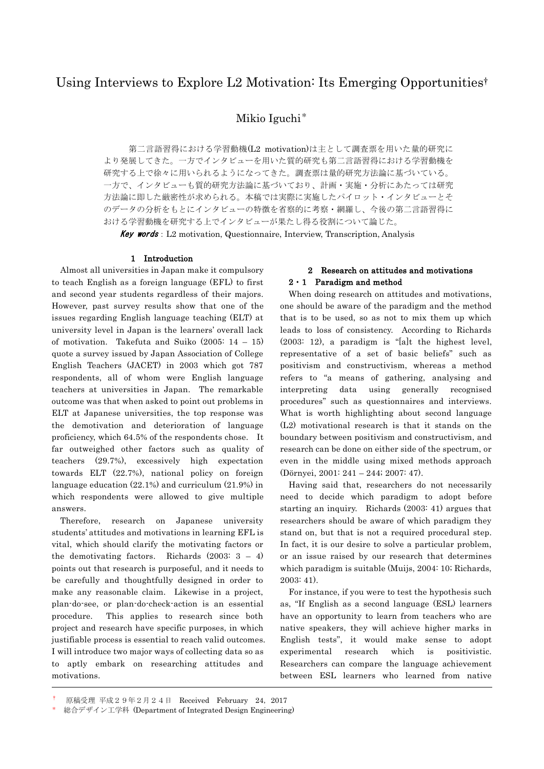# Using Interviews to Explore L2 Motivation: Its Emerging Opportunities†

Mikio Iguchi\*

第二言語習得における学習動機(L2 motivation)は主として調査票を用いた量的研究に より発展してきた。一方でインタビューを用いた質的研究も第二言語習得における学習動機を 研究する上で徐々に用いられるようになってきた。調査票は量的研究方法論に基づいている。 一方で、インタビューも質的研究方法論に基づいており、計画・実施・分析にあたっては研究 方法論に即した厳密性が求められる。本稿では実際に実施したパイロット・インタビューとそ のデータの分析をもとにインタビューの特徴を省察的に考察・網羅し、今後の第二言語習得に おける学習動機を研究する上でインタビューが果たし得る役割について論じた。

Key words: L2 motivation, Questionnaire, Interview, Transcription, Analysis

### 1 Introduction

Almost all universities in Japan make it compulsory to teach English as a foreign language (EFL) to first and second year students regardless of their majors. However, past survey results show that one of the issues regarding English language teaching (ELT) at university level in Japan is the learners' overall lack of motivation. Takefuta and Suiko (2005: 14 – 15) quote a survey issued by Japan Association of College English Teachers (JACET) in 2003 which got 787 respondents, all of whom were English language teachers at universities in Japan. The remarkable outcome was that when asked to point out problems in ELT at Japanese universities, the top response was the demotivation and deterioration of language proficiency, which 64.5% of the respondents chose. It far outweighed other factors such as quality of teachers (29.7%), excessively high expectation towards ELT (22.7%), national policy on foreign language education (22.1%) and curriculum (21.9%) in which respondents were allowed to give multiple answers.

Therefore, research on Japanese university students' attitudes and motivations in learning EFL is vital, which should clarify the motivating factors or the demotivating factors. Richards  $(2003: 3 - 4)$ points out that research is purposeful, and it needs to be carefully and thoughtfully designed in order to make any reasonable claim. Likewise in a project, plan-do-see, or plan-do-check-action is an essential procedure. This applies to research since both project and research have specific purposes, in which justifiable process is essential to reach valid outcomes. I will introduce two major ways of collecting data so as to aptly embark on researching attitudes and motivations.

# 2 Research on attitudes and motivations 2・1 Paradigm and method

When doing research on attitudes and motivations, one should be aware of the paradigm and the method that is to be used, so as not to mix them up which leads to loss of consistency. According to Richards (2003: 12), a paradigm is "[a]t the highest level, representative of a set of basic beliefs" such as positivism and constructivism, whereas a method refers to "a means of gathering, analysing and interpreting data using generally recognised procedures" such as questionnaires and interviews. What is worth highlighting about second language (L2) motivational research is that it stands on the boundary between positivism and constructivism, and research can be done on either side of the spectrum, or even in the middle using mixed methods approach (Dörnyei, 2001: 241 – 244; 2007: 47).

Having said that, researchers do not necessarily need to decide which paradigm to adopt before starting an inquiry. Richards (2003: 41) argues that researchers should be aware of which paradigm they stand on, but that is not a required procedural step. In fact, it is our desire to solve a particular problem, or an issue raised by our research that determines which paradigm is suitable (Muijs, 2004: 10; Richards, 2003: 41).

For instance, if you were to test the hypothesis such as, "If English as a second language (ESL) learners have an opportunity to learn from teachers who are native speakers, they will achieve higher marks in English tests", it would make sense to adopt experimental research which is positivistic. Researchers can compare the language achievement between ESL learners who learned from native

<sup>†</sup> 原稿受理 平成29年2月24日 Received February 24,2017

総合デザイン工学科 (Department of Integrated Design Engineering)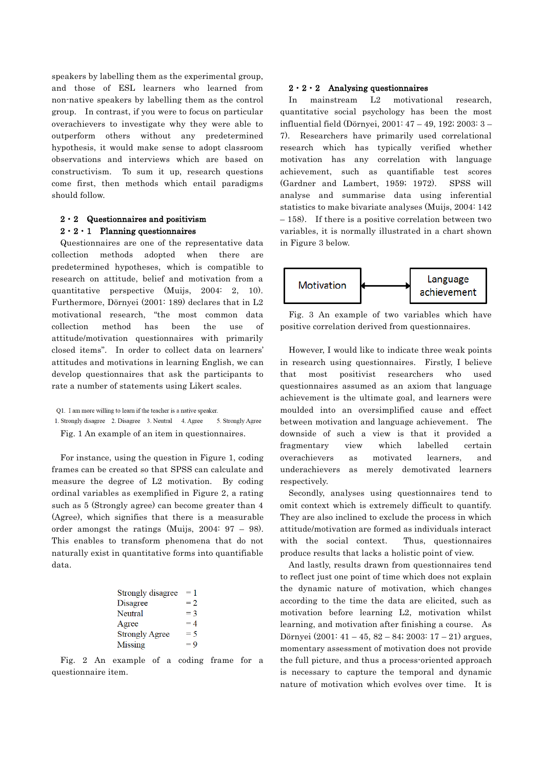speakers by labelling them as the experimental group, and those of ESL learners who learned from non-native speakers by labelling them as the control group. In contrast, if you were to focus on particular overachievers to investigate why they were able to outperform others without any predetermined hypothesis, it would make sense to adopt classroom observations and interviews which are based on constructivism. To sum it up, research questions come first, then methods which entail paradigms should follow.

# 2・2 Questionnaires and positivism  $2 \cdot 2 \cdot 1$  Planning questionnaires

Questionnaires are one of the representative data collection methods adopted when there are predetermined hypotheses, which is compatible to research on attitude, belief and motivation from a quantitative perspective (Muijs, 2004: 2, 10). Furthermore, Dörnyei (2001: 189) declares that in L2 motivational research, "the most common data collection method has been the use of attitude/motivation questionnaires with primarily closed items". In order to collect data on learners' attitudes and motivations in learning English, we can develop questionnaires that ask the participants to rate a number of statements using Likert scales.

- 1. Strongly disagree 2. Disagree 3. Neutral 4. Agree 5. Strongly Agree
- Fig. 1 An example of an item in questionnaires.

For instance, using the question in Figure 1, coding frames can be created so that SPSS can calculate and measure the degree of L2 motivation. By coding ordinal variables as exemplified in Figure 2, a rating such as 5 (Strongly agree) can become greater than 4 (Agree), which signifies that there is a measurable order amongst the ratings (Muijs, 2004: 97 – 98). This enables to transform phenomena that do not naturally exist in quantitative forms into quantifiable data.

| Strongly disagree     | $=1$  |
|-----------------------|-------|
| Disagree              | $= 2$ |
| Neutral               | $=$ 3 |
| Agree                 | $=4$  |
| <b>Strongly Agree</b> | $= 5$ |
| Missing               | $= 9$ |

Fig. 2 An example of a coding frame for a questionnaire item.

#### $2 \cdot 2 \cdot 2$  Analysing questionnaires

In mainstream L2 motivational research, quantitative social psychology has been the most influential field (Dörnyei, 2001: 47 – 49, 192; 2003: 3 – 7). Researchers have primarily used correlational research which has typically verified whether motivation has any correlation with language achievement, such as quantifiable test scores (Gardner and Lambert, 1959; 1972). SPSS will analyse and summarise data using inferential statistics to make bivariate analyses (Muijs, 2004: 142 – 158). If there is a positive correlation between two variables, it is normally illustrated in a chart shown in Figure 3 below.



Fig. 3 An example of two variables which have positive correlation derived from questionnaires.

However, I would like to indicate three weak points in research using questionnaires. Firstly, I believe that most positivist researchers who used questionnaires assumed as an axiom that language achievement is the ultimate goal, and learners were moulded into an oversimplified cause and effect between motivation and language achievement. The downside of such a view is that it provided a fragmentary view which labelled certain overachievers as motivated learners, and underachievers as merely demotivated learners respectively.

Secondly, analyses using questionnaires tend to omit context which is extremely difficult to quantify. They are also inclined to exclude the process in which attitude/motivation are formed as individuals interact with the social context. Thus, questionnaires produce results that lacks a holistic point of view.

And lastly, results drawn from questionnaires tend to reflect just one point of time which does not explain the dynamic nature of motivation, which changes according to the time the data are elicited, such as motivation before learning L2, motivation whilst learning, and motivation after finishing a course. As Dörnyei (2001: 41 – 45, 82 – 84; 2003: 17 – 21) argues, momentary assessment of motivation does not provide the full picture, and thus a process-oriented approach is necessary to capture the temporal and dynamic nature of motivation which evolves over time. It is

Q1. I am more willing to learn if the teacher is a native speaker.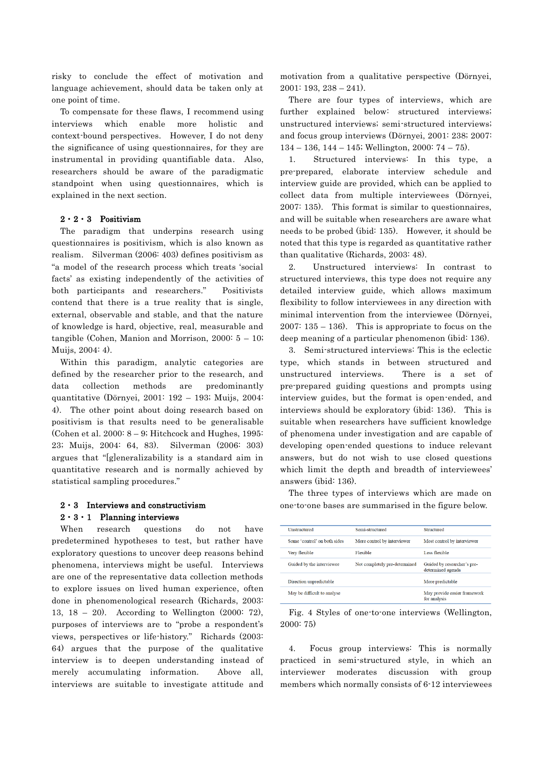risky to conclude the effect of motivation and language achievement, should data be taken only at one point of time.

To compensate for these flaws, I recommend using interviews which enable more holistic and context-bound perspectives. However, I do not deny the significance of using questionnaires, for they are instrumental in providing quantifiable data. Also, researchers should be aware of the paradigmatic standpoint when using questionnaires, which is explained in the next section.

### 2・2・3 Positivism

The paradigm that underpins research using questionnaires is positivism, which is also known as realism. Silverman (2006: 403) defines positivism as "a model of the research process which treats 'social facts' as existing independently of the activities of both participants and researchers." Positivists contend that there is a true reality that is single, external, observable and stable, and that the nature of knowledge is hard, objective, real, measurable and tangible (Cohen, Manion and Morrison,  $2000: 5 - 10$ ; Muijs, 2004: 4).

Within this paradigm, analytic categories are defined by the researcher prior to the research, and data collection methods are predominantly quantitative (Dörnyei, 2001: 192 – 193; Muijs, 2004: 4). The other point about doing research based on positivism is that results need to be generalisable (Cohen et al. 2000: 8 – 9; Hitchcock and Hughes, 1995: 23; Muijs, 2004: 64, 83). Silverman (2006: 303) argues that "[g]eneralizability is a standard aim in quantitative research and is normally achieved by statistical sampling procedures."

# $2 \cdot 3$  Interviews and constructivism

# $2 \cdot 3 \cdot 1$  Planning interviews

When research questions do not have predetermined hypotheses to test, but rather have exploratory questions to uncover deep reasons behind phenomena, interviews might be useful. Interviews are one of the representative data collection methods to explore issues on lived human experience, often done in phenomenological research (Richards, 2003: 13, 18 – 20). According to Wellington (2000: 72), purposes of interviews are to "probe a respondent's views, perspectives or life-history." Richards (2003: 64) argues that the purpose of the qualitative interview is to deepen understanding instead of merely accumulating information. Above all, interviews are suitable to investigate attitude and

motivation from a qualitative perspective (Dörnyei,  $2001: 193, 238 - 241.$ 

There are four types of interviews, which are further explained below: structured interviews; unstructured interviews; semi-structured interviews; and focus group interviews (Dörnyei, 2001: 238; 2007:  $134 - 136$ ,  $144 - 145$ ; Wellington,  $2000$ :  $74 - 75$ ).

1. Structured interviews: In this type, a pre-prepared, elaborate interview schedule and interview guide are provided, which can be applied to collect data from multiple interviewees (Dörnyei, 2007: 135). This format is similar to questionnaires, and will be suitable when researchers are aware what needs to be probed (ibid: 135). However, it should be noted that this type is regarded as quantitative rather than qualitative (Richards, 2003: 48).

2. Unstructured interviews: In contrast to structured interviews, this type does not require any detailed interview guide, which allows maximum flexibility to follow interviewees in any direction with minimal intervention from the interviewee (Dörnyei,  $2007: 135 - 136$ . This is appropriate to focus on the deep meaning of a particular phenomenon (ibid: 136).

3. Semi-structured interviews: This is the eclectic type, which stands in between structured and unstructured interviews. There is a set of pre-prepared guiding questions and prompts using interview guides, but the format is open-ended, and interviews should be exploratory (ibid: 136). This is suitable when researchers have sufficient knowledge of phenomena under investigation and are capable of developing open-ended questions to induce relevant answers, but do not wish to use closed questions which limit the depth and breadth of interviewees' answers (ibid: 136).

The three types of interviews which are made on one-to-one bases are summarised in the figure below.

| <b>Unstructured</b>          | Semi-structured               | Structured                                       |
|------------------------------|-------------------------------|--------------------------------------------------|
| Some 'control' on both sides | More control by interviewer   | Most control by interviewer                      |
| Very flexible                | Flexible                      | Less flexible                                    |
| Guided by the interviewee    | Not completely pre-determined | Guided by researcher's pre-<br>determined agenda |
| Direction unpredictable      |                               | More predictable                                 |
| May be difficult to analyse  |                               | May provide easier framework<br>for analysis     |

Fig. 4 Styles of one-to-one interviews (Wellington, 2000: 75)

4. Focus group interviews: This is normally practiced in semi-structured style, in which an interviewer moderates discussion with group members which normally consists of 6-12 interviewees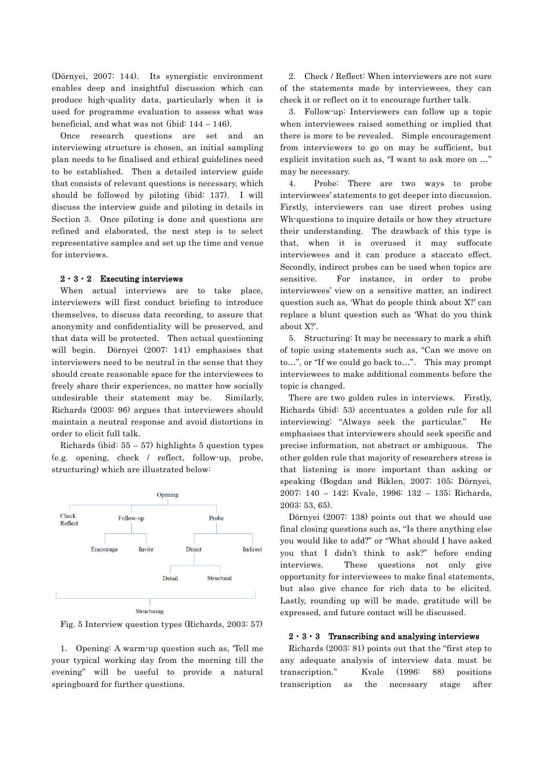(Dörnyei, 2007: 144). Its synergistic environment enables deep and insightful discussion which can produce high-quality data, particularly when it is used for programme evaluation to assess what was beneficial, and what was not (ibid: 144 – 146).

Once research questions are set and an interviewing structure is chosen, an initial sampling plan needs to be finalised and ethical guidelines need to be established. Then a detailed interview guide that consists of relevant questions is necessary, which should be followed by piloting (ibid: 137). I will discuss the interview guide and piloting in details in Section 3. Once piloting is done and questions are refined and elaborated, the next step is to select representative samples and set up the time and venue for interviews.

### $2 \cdot 3 \cdot 2$  Executing interviews

When actual interviews are to take place, interviewers will first conduct briefing to introduce themselves, to discuss data recording, to assure that anonymity and confidentiality will be preserved, and that data will be protected. Then actual questioning will begin. Dörnyei (2007: 141) emphasises that interviewers need to be neutral in the sense that they should create reasonable space for the interviewees to freely share their experiences, no matter how socially undesirable their statement may be. Similarly, Richards (2003: 96) argues that interviewers should maintain a neutral response and avoid distortions in order to elicit full talk.

Richards (ibid:  $55 - 57$ ) highlights 5 question types (e.g. opening, check / reflect, follow-up, probe, structuring) which are illustrated below:



Fig. 5 Interview question types (Richards, 2003: 57)

1. Opening: A warm-up question such as, 'Tell me your typical working day from the morning till the evening" will be useful to provide a natural springboard for further questions.

2. Check / Reflect: When interviewers are not sure of the statements made by interviewees, they can check it or reflect on it to encourage further talk.

3. Follow-up: Interviewers can follow up a topic when interviewees raised something or implied that there is more to be revealed. Simple encouragement from interviewers to go on may be sufficient, but explicit invitation such as, "I want to ask more on …" may be necessary.

4. Probe: There are two ways to probe interviewees' statements to get deeper into discussion. Firstly, interviewers can use direct probes using Wh-questions to inquire details or how they structure their understanding. The drawback of this type is that, when it is overused it may suffocate interviewees and it can produce a staccato effect. Secondly, indirect probes can be used when topics are sensitive. For instance, in order to probe interviewees' view on a sensitive matter, an indirect question such as, 'What do people think about X?' can replace a blunt question such as 'What do you think about X?'.

5. Structuring: It may be necessary to mark a shift of topic using statements such as, "Can we move on to…", or "If we could go back to…". This may prompt interviewees to make additional comments before the topic is changed.

There are two golden rules in interviews. Firstly, Richards (ibid: 53) accentuates a golden rule for all interviewing: "Always seek the particular." He emphasises that interviewers should seek specific and precise information, not abstract or ambiguous. The other golden rule that majority of researchers stress is that listening is more important than asking or speaking (Bogdan and Biklen, 2007: 105; Dörnyei, 2007: 140 – 142; Kvale, 1996: 132 – 135; Richards, 2003: 53, 65).

Dörnyei (2007: 138) points out that we should use final closing questions such as, "Is there anything else you would like to add?" or "What should I have asked you that I didn't think to ask?" before ending interviews. These questions not only give opportunity for interviewees to make final statements, but also give chance for rich data to be elicited. Lastly, rounding up will be made, gratitude will be expressed, and future contact will be discussed.

### $2 \cdot 3 \cdot 3$  Transcribing and analysing interviews

Richards (2003: 81) points out that the "first step to any adequate analysis of interview data must be transcription." Kvale (1996: 88) positions transcription as the necessary stage after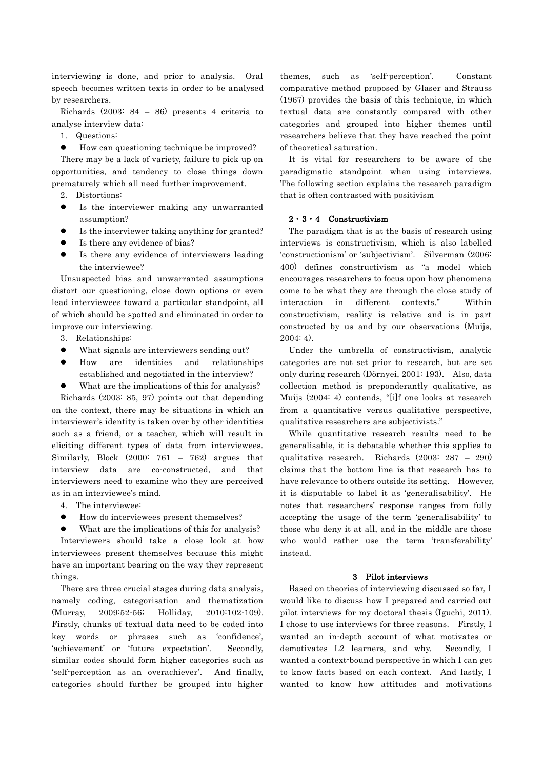interviewing is done, and prior to analysis. Oral speech becomes written texts in order to be analysed by researchers.

Richards (2003: 84 – 86) presents 4 criteria to analyse interview data:

- 1. Questions:
- How can questioning technique be improved?

There may be a lack of variety, failure to pick up on opportunities, and tendency to close things down prematurely which all need further improvement.

- 2. Distortions:
- Is the interviewer making any unwarranted assumption?
- Is the interviewer taking anything for granted?
- Is there any evidence of bias?
- Is there any evidence of interviewers leading the interviewee?

Unsuspected bias and unwarranted assumptions distort our questioning, close down options or even lead interviewees toward a particular standpoint, all of which should be spotted and eliminated in order to improve our interviewing.

- 3. Relationships:
- What signals are interviewers sending out?
- How are identities and relationships established and negotiated in the interview?
- What are the implications of this for analysis?

Richards (2003: 85, 97) points out that depending on the context, there may be situations in which an interviewer's identity is taken over by other identities such as a friend, or a teacher, which will result in eliciting different types of data from interviewees. Similarly, Block  $(2000: 761 - 762)$  argues that interview data are co-constructed, and that interviewers need to examine who they are perceived as in an interviewee's mind.

- 4. The interviewee:
- How do interviewees present themselves?

 What are the implications of this for analysis? Interviewers should take a close look at how interviewees present themselves because this might have an important bearing on the way they represent things.

 There are three crucial stages during data analysis, namely coding, categorisation and thematization (Murray, 2009:52-56; Holliday, 2010:102-109). Firstly, chunks of textual data need to be coded into key words or phrases such as 'confidence', 'achievement' or 'future expectation'. Secondly, similar codes should form higher categories such as 'self-perception as an overachiever'. And finally, categories should further be grouped into higher

themes, such as 'self-perception'. Constant comparative method proposed by Glaser and Strauss (1967) provides the basis of this technique, in which textual data are constantly compared with other categories and grouped into higher themes until researchers believe that they have reached the point of theoretical saturation.

 It is vital for researchers to be aware of the paradigmatic standpoint when using interviews. The following section explains the research paradigm that is often contrasted with positivism

### 2・3・4 Constructivism

The paradigm that is at the basis of research using interviews is constructivism, which is also labelled 'constructionism' or 'subjectivism'. Silverman (2006: 400) defines constructivism as "a model which encourages researchers to focus upon how phenomena come to be what they are through the close study of interaction in different contexts." Within constructivism, reality is relative and is in part constructed by us and by our observations (Muijs, 2004: 4).

Under the umbrella of constructivism, analytic categories are not set prior to research, but are set only during research (Dörnyei, 2001: 193). Also, data collection method is preponderantly qualitative, as Muijs (2004: 4) contends, "[i]f one looks at research from a quantitative versus qualitative perspective, qualitative researchers are subjectivists."

While quantitative research results need to be generalisable, it is debatable whether this applies to qualitative research. Richards (2003: 287 – 290) claims that the bottom line is that research has to have relevance to others outside its setting. However, it is disputable to label it as 'generalisability'. He notes that researchers' response ranges from fully accepting the usage of the term 'generalisability' to those who deny it at all, and in the middle are those who would rather use the term 'transferability' instead.

### 3 Pilot interviews

Based on theories of interviewing discussed so far, I would like to discuss how I prepared and carried out pilot interviews for my doctoral thesis (Iguchi, 2011). I chose to use interviews for three reasons. Firstly, I wanted an in-depth account of what motivates or demotivates L2 learners, and why. Secondly, I wanted a context-bound perspective in which I can get to know facts based on each context. And lastly, I wanted to know how attitudes and motivations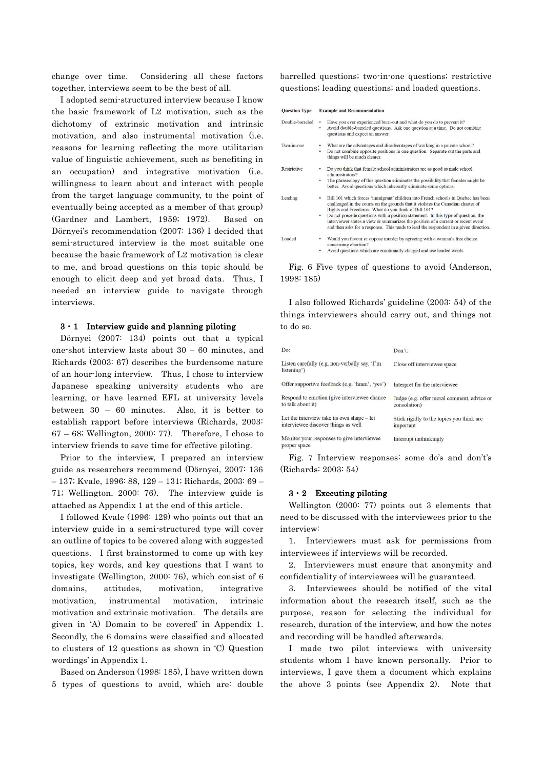change over time. Considering all these factors together, interviews seem to be the best of all.

I adopted semi-structured interview because I know the basic framework of L2 motivation, such as the dichotomy of extrinsic motivation and intrinsic motivation, and also instrumental motivation (i.e. reasons for learning reflecting the more utilitarian value of linguistic achievement, such as benefiting in an occupation) and integrative motivation (i.e. willingness to learn about and interact with people from the target language community, to the point of eventually being accepted as a member of that group) (Gardner and Lambert, 1959; 1972). Based on Dörnyei's recommendation (2007: 136) I decided that semi-structured interview is the most suitable one because the basic framework of L2 motivation is clear to me, and broad questions on this topic should be enough to elicit deep and yet broad data. Thus, I needed an interview guide to navigate through interviews.

### 3・1 Interview guide and planning piloting

Dörnyei (2007: 134) points out that a typical one-shot interview lasts about 30 – 60 minutes, and Richards (2003: 67) describes the burdensome nature of an hour-long interview. Thus, I chose to interview Japanese speaking university students who are learning, or have learned EFL at university levels between 30 – 60 minutes. Also, it is better to establish rapport before interviews (Richards, 2003: 67 – 68; Wellington, 2000: 77). Therefore, I chose to interview friends to save time for effective piloting.

Prior to the interview, I prepared an interview guide as researchers recommend (Dörnyei, 2007: 136 – 137; Kvale, 1996: 88, 129 – 131; Richards, 2003: 69 – 71; Wellington, 2000: 76). The interview guide is attached as Appendix 1 at the end of this article.

I followed Kvale (1996: 129) who points out that an interview guide in a semi-structured type will cover an outline of topics to be covered along with suggested questions. I first brainstormed to come up with key topics, key words, and key questions that I want to investigate (Wellington, 2000: 76), which consist of 6 domains, attitudes, motivation, integrative motivation, instrumental motivation, intrinsic motivation and extrinsic motivation. The details are given in 'A) Domain to be covered' in Appendix 1. Secondly, the 6 domains were classified and allocated to clusters of 12 questions as shown in 'C) Question wordings' in Appendix 1.

Based on Anderson (1998: 185), I have written down 5 types of questions to avoid, which are: double barrelled questions; two-in-one questions; restrictive questions; leading questions; and loaded questions.

| <b>Ouestion Type</b> | <b>Example and Recommendation</b> |
|----------------------|-----------------------------------|
|                      |                                   |

| Double-barreled | Have you ever experienced burn-out and what do you do to prevent it?<br>٠<br>Avoid double-barreled questions. Ask one question at a time. Do not combine<br>٠<br>questions and expect an answer.                                                                                                                                                                                                                                                                                                                 |
|-----------------|------------------------------------------------------------------------------------------------------------------------------------------------------------------------------------------------------------------------------------------------------------------------------------------------------------------------------------------------------------------------------------------------------------------------------------------------------------------------------------------------------------------|
| Two-in-one      | What are the advantages and disadvantages of working in a private school?<br>٠<br>Do not combine opposite positions in one question. Separate out the parts and<br>٠<br>things will be much clearer.                                                                                                                                                                                                                                                                                                             |
| Restrictive     | Do you think that female school administrators are as good as male school<br>٠<br>administrators?<br>The phraseology of this question eliminates the possibility that females might be<br>٠<br>better. Avoid questions which inherently eliminate some options.                                                                                                                                                                                                                                                  |
| Leading         | Bill 101 which forces 'immigrant' children into French schools in Quebec has been<br>٠<br>challenged in the courts on the grounds that it violates the Canadian charter of<br>Rights and Freedoms. What do you think of Bill 101?<br>Do not precede questions with a position statement. In this type of question, the<br>$\bullet$<br>interviewer states a view or summarizes the position of a current or recent event<br>and then asks for a response. This tends to lead the respondent in a given direction |
| Loaded          | Would you favour or oppose murder by agreeing with a woman's free choice<br>concerning abortion?                                                                                                                                                                                                                                                                                                                                                                                                                 |
|                 | . Avoid questions which are emotionally charged and use loaded words                                                                                                                                                                                                                                                                                                                                                                                                                                             |

Fig. 6 Five types of questions to avoid (Anderson, 1998: 185)

I also followed Richards' guideline (2003: 54) of the things interviewers should carry out, and things not to do so.

| Do:                                                                               | Don't:                                                     |
|-----------------------------------------------------------------------------------|------------------------------------------------------------|
| Listen carefully (e.g. non-verbally say, 'I'm<br>listening')                      | Close off interviewee space                                |
| Offer supportive feedback (e.g. 'hmm', 'yes')                                     | Interpret for the interviewee                              |
| Respond to emotion (give interviewee chance<br>to talk about it)                  | Judge (e.g. offer moral comment, advice or<br>consolation) |
| Let the interview take its own shape - let<br>interviewee discover things as well | Stick rigidly to the topics you think are<br>important     |
| Monitor your responses to give interviewee<br>proper space                        | Interrupt unthinkingly                                     |

Fig. 7 Interview responses: some do's and don't's (Richards: 2003: 54)

### 3・2 Executing piloting

Wellington (2000: 77) points out 3 elements that need to be discussed with the interviewees prior to the interview:

1. Interviewers must ask for permissions from interviewees if interviews will be recorded.

2. Interviewers must ensure that anonymity and confidentiality of interviewees will be guaranteed.

3. Interviewees should be notified of the vital information about the research itself, such as the purpose, reason for selecting the individual for research, duration of the interview, and how the notes and recording will be handled afterwards.

I made two pilot interviews with university students whom I have known personally. Prior to interviews, I gave them a document which explains the above 3 points (see Appendix 2). Note that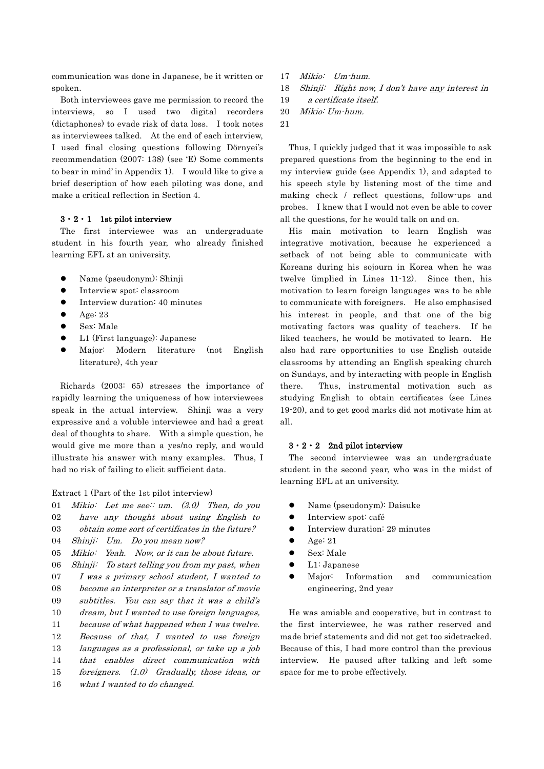communication was done in Japanese, be it written or spoken.

Both interviewees gave me permission to record the interviews, so I used two digital recorders (dictaphones) to evade risk of data loss. I took notes as interviewees talked. At the end of each interview, I used final closing questions following Dörnyei's recommendation (2007: 138) (see 'E) Some comments to bear in mind' in Appendix 1). I would like to give a brief description of how each piloting was done, and make a critical reflection in Section 4.

# $3 \cdot 2 \cdot 1$  1st pilot interview

The first interviewee was an undergraduate student in his fourth year, who already finished learning EFL at an university.

- Name (pseudonym): Shinji
- Interview spot: classroom
- Interview duration: 40 minutes
- Age: 23
- Sex: Male
- L1 (First language): Japanese
- Major: Modern literature (not English literature), 4th year

Richards (2003: 65) stresses the importance of rapidly learning the uniqueness of how interviewees speak in the actual interview. Shinji was a very expressive and a voluble interviewee and had a great deal of thoughts to share. With a simple question, he would give me more than a yes/no reply, and would illustrate his answer with many examples. Thus, I had no risk of failing to elicit sufficient data.

#### Extract 1 (Part of the 1st pilot interview)

- 01 Mikio: Let me see: um.  $(3.0)$  Then, do you
- 02 have any thought about using English to
- 03 obtain some sort of certificates in the future?
- $04$ Shinji: Um. Do you mean now?
- 05 Mikio: Yeah. Now, or it can be about future.
- 06 Shinji: To start telling you from my past, when
- 07 I was a primary school student, I wanted to
- 08 become an interpreter or a translator of movie
- 09 subtitles. You can say that it was a child's
- 10 dream, but I wanted to use foreign languages,
- 11 because of what happened when I was twelve.
- 12 Because of that, I wanted to use foreign
- 13 languages as a professional, or take up a job
- 14 that enables direct communication with
- 15 16 foreigners. (1.0) Gradually, those ideas, or what I wanted to do changed.
- 17 Mikio: Um-hum.
- 18 Shinji: Right now, I don't have any interest in
- 19 a certificate itself.
- 20 Mikio: Um-hum.
- 21

Thus, I quickly judged that it was impossible to ask prepared questions from the beginning to the end in my interview guide (see Appendix 1), and adapted to his speech style by listening most of the time and making check / reflect questions, follow-ups and probes. I knew that I would not even be able to cover all the questions, for he would talk on and on.

His main motivation to learn English was integrative motivation, because he experienced a setback of not being able to communicate with Koreans during his sojourn in Korea when he was twelve (implied in Lines 11-12). Since then, his motivation to learn foreign languages was to be able to communicate with foreigners. He also emphasised his interest in people, and that one of the big motivating factors was quality of teachers. If he liked teachers, he would be motivated to learn. He also had rare opportunities to use English outside classrooms by attending an English speaking church on Sundays, and by interacting with people in English there. Thus, instrumental motivation such as studying English to obtain certificates (see Lines 19-20), and to get good marks did not motivate him at all.

#### $3 \cdot 2 \cdot 2$  2nd pilot interview

The second interviewee was an undergraduate student in the second year, who was in the midst of learning EFL at an university.

- Name (pseudonym): Daisuke
- **•** Interview spot: café
- **•** Interview duration: 29 minutes
- $\bullet$  Age: 21
- Sex: Male
- L1: Japanese
- Major: Information and communication engineering, 2nd year

He was amiable and cooperative, but in contrast to the first interviewee, he was rather reserved and made brief statements and did not get too sidetracked. Because of this, I had more control than the previous interview. He paused after talking and left some space for me to probe effectively.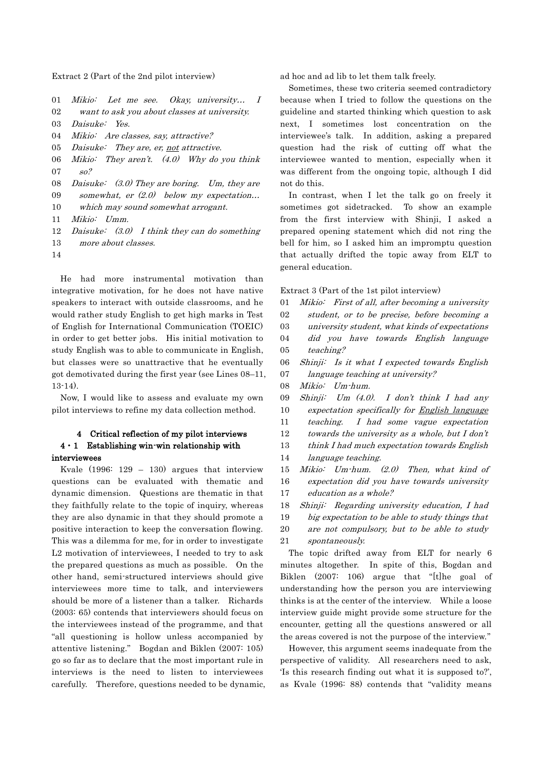Extract 2 (Part of the 2nd pilot interview)

- 01 Mikio: Let me see. Okay, university… I
- 02 want to ask you about classes at university.
- 03 Daisuke: Yes.
- 04 Mikio: Are classes, say, attractive?
- 05 Daisuke: They are, er, not attractive.

06 07 Mikio: They aren't.  $(4.0)$  Why do you think so?

- 08 Daisuke: (3.0) They are boring. Um, they are
- 09 somewhat, er  $(2.0)$  below my expectation...
- 10 which may sound somewhat arrogant.
- 11 Mikio: Umm.
- 12 Daisuke:  $(3.0)$  I think they can do something
- 13 more about classes.
- 14

He had more instrumental motivation than integrative motivation, for he does not have native speakers to interact with outside classrooms, and he would rather study English to get high marks in Test of English for International Communication (TOEIC) in order to get better jobs. His initial motivation to study English was to able to communicate in English, but classes were so unattractive that he eventually got demotivated during the first year (see Lines 08–11, 13-14).

Now, I would like to assess and evaluate my own pilot interviews to refine my data collection method.

# 4 Critical reflection of my pilot interviews  $4 \cdot 1$  Establishing win-win relationship with interviewees

Kvale (1996: 129 – 130) argues that interview questions can be evaluated with thematic and dynamic dimension. Questions are thematic in that they faithfully relate to the topic of inquiry, whereas they are also dynamic in that they should promote a positive interaction to keep the conversation flowing. This was a dilemma for me, for in order to investigate L2 motivation of interviewees, I needed to try to ask the prepared questions as much as possible. On the other hand, semi-structured interviews should give interviewees more time to talk, and interviewers should be more of a listener than a talker. Richards (2003: 65) contends that interviewers should focus on the interviewees instead of the programme, and that "all questioning is hollow unless accompanied by attentive listening." Bogdan and Biklen (2007: 105) go so far as to declare that the most important rule in interviews is the need to listen to interviewees carefully. Therefore, questions needed to be dynamic, ad hoc and ad lib to let them talk freely.

Sometimes, these two criteria seemed contradictory because when I tried to follow the questions on the guideline and started thinking which question to ask next, I sometimes lost concentration on the interviewee's talk. In addition, asking a prepared question had the risk of cutting off what the interviewee wanted to mention, especially when it was different from the ongoing topic, although I did not do this.

In contrast, when I let the talk go on freely it sometimes got sidetracked. To show an example from the first interview with Shinji, I asked a prepared opening statement which did not ring the bell for him, so I asked him an impromptu question that actually drifted the topic away from ELT to general education.

Extract 3 (Part of the 1st pilot interview)

- 01 02 03  $04$ 05 06 07 Mikio: First of all, after becoming a university student, or to be precise, before becoming a university student, what kinds of expectations did you have towards English language teaching? Shinji: Is it what I expected towards English language teaching at university?
- 08 Mikio: Um-hum.
- 09 10 11 Shinii: Um  $(4.0)$ . I don't think I had any expectation specifically for English language teaching. I had some vague expectation
- 12 towards the university as a whole, but I don't
- 13 think I had much expectation towards English
- 14 language teaching.
- 15 16 17 Mikio: Um-hum. (2.0) Then, what kind of expectation did you have towards university education as a whole?
- 18 Shinji: Regarding university education, I had
- 19 big expectation to be able to study things that
- 20 21 are not compulsory, but to be able to study spontaneously.

The topic drifted away from ELT for nearly 6 minutes altogether. In spite of this, Bogdan and Biklen (2007: 106) argue that "[t]he goal of understanding how the person you are interviewing thinks is at the center of the interview. While a loose interview guide might provide some structure for the encounter, getting all the questions answered or all the areas covered is not the purpose of the interview."

However, this argument seems inadequate from the perspective of validity. All researchers need to ask, 'Is this research finding out what it is supposed to?', as Kvale (1996: 88) contends that "validity means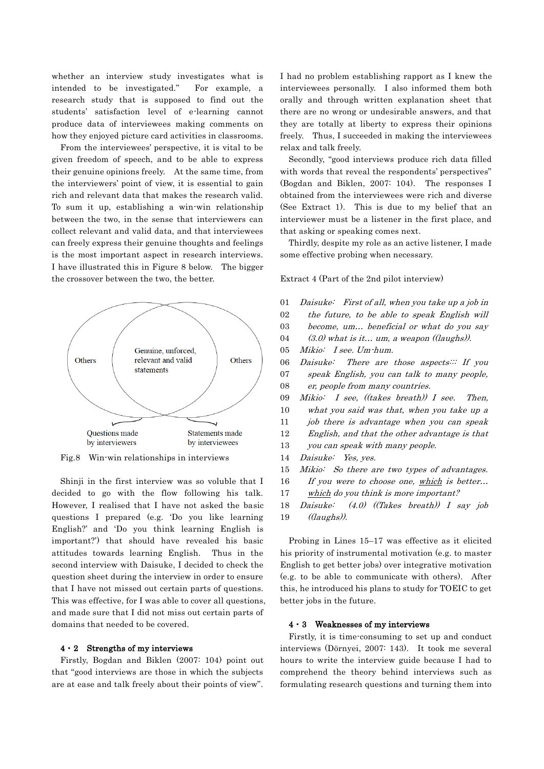whether an interview study investigates what is intended to be investigated." For example, a research study that is supposed to find out the students' satisfaction level of e-learning cannot produce data of interviewees making comments on how they enjoyed picture card activities in classrooms.

From the interviewees' perspective, it is vital to be given freedom of speech, and to be able to express their genuine opinions freely. At the same time, from the interviewers' point of view, it is essential to gain rich and relevant data that makes the research valid. To sum it up, establishing a win-win relationship between the two, in the sense that interviewers can collect relevant and valid data, and that interviewees can freely express their genuine thoughts and feelings is the most important aspect in research interviews. I have illustrated this in Figure 8 below. The bigger the crossover between the two, the better.



Fig.8 Win-win relationships in interviews

Shinji in the first interview was so voluble that I decided to go with the flow following his talk. However, I realised that I have not asked the basic questions I prepared (e.g. 'Do you like learning English?' and 'Do you think learning English is important?') that should have revealed his basic attitudes towards learning English. Thus in the second interview with Daisuke, I decided to check the question sheet during the interview in order to ensure that I have not missed out certain parts of questions. This was effective, for I was able to cover all questions, and made sure that I did not miss out certain parts of domains that needed to be covered.

### $4 \cdot 2$  Strengths of my interviews

Firstly, Bogdan and Biklen (2007: 104) point out that "good interviews are those in which the subjects are at ease and talk freely about their points of view".

I had no problem establishing rapport as I knew the interviewees personally. I also informed them both orally and through written explanation sheet that there are no wrong or undesirable answers, and that they are totally at liberty to express their opinions freely. Thus, I succeeded in making the interviewees relax and talk freely.

Secondly, "good interviews produce rich data filled with words that reveal the respondents' perspectives" (Bogdan and Biklen, 2007: 104). The responses I obtained from the interviewees were rich and diverse (See Extract 1). This is due to my belief that an interviewer must be a listener in the first place, and that asking or speaking comes next.

Thirdly, despite my role as an active listener, I made some effective probing when necessary.

Extract 4 (Part of the 2nd pilot interview)

| 01 | Daisuke: First of all, when you take up a job in |
|----|--------------------------------------------------|
| 02 | the future, to be able to speak English will     |
| 03 | become, um beneficial or what do you say         |
| 04 | $(3.0)$ what is it um, a weapon ((laughs)).      |
| 05 | Mikio: I see. Um hum.                            |
| 06 | Daisuke: There are those aspects If you          |
| 07 | speak English, you can talk to many people,      |
| 08 | er, people from many countries.                  |
| 09 | Mikio: I see, ((takes breath)) I see. Then,      |
| 10 | what you said was that, when you take up a       |
| 11 | job there is advantage when you can speak        |
| 12 | English, and that the other advantage is that    |
| 13 | you can speak with many people.                  |
| 14 | Daisuke: Yes, yes.                               |
| 15 | Mikio: So there are two types of advantages.     |
| 16 | If you were to choose one, which is better       |
| 17 | which do you think is more important?            |
| 18 | Daisuke: $(4.0)$ ((Takes breath)) I say job      |
| 19 | (laughs).                                        |

Probing in Lines 15–17 was effective as it elicited his priority of instrumental motivation (e.g. to master English to get better jobs) over integrative motivation (e.g. to be able to communicate with others). After this, he introduced his plans to study for TOEIC to get better jobs in the future.

### 4・3 Weaknesses of my interviews

Firstly, it is time-consuming to set up and conduct interviews (Dörnyei, 2007: 143). It took me several hours to write the interview guide because I had to comprehend the theory behind interviews such as formulating research questions and turning them into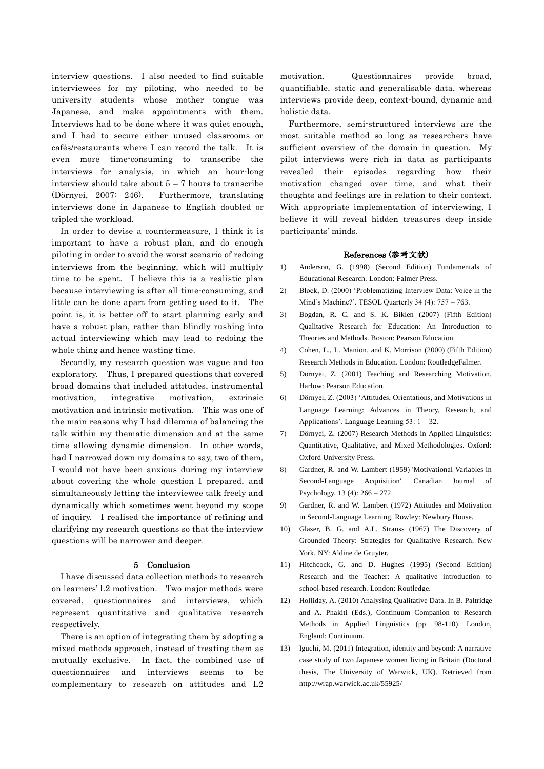interview questions. I also needed to find suitable interviewees for my piloting, who needed to be university students whose mother tongue was Japanese, and make appointments with them. Interviews had to be done where it was quiet enough, and I had to secure either unused classrooms or cafés/restaurants where I can record the talk. It is even more time-consuming to transcribe the interviews for analysis, in which an hour-long interview should take about  $5 - 7$  hours to transcribe (Dörnyei, 2007: 246). Furthermore, translating interviews done in Japanese to English doubled or tripled the workload.

In order to devise a countermeasure, I think it is important to have a robust plan, and do enough piloting in order to avoid the worst scenario of redoing interviews from the beginning, which will multiply time to be spent. I believe this is a realistic plan because interviewing is after all time-consuming, and little can be done apart from getting used to it. The point is, it is better off to start planning early and have a robust plan, rather than blindly rushing into actual interviewing which may lead to redoing the whole thing and hence wasting time.

Secondly, my research question was vague and too exploratory. Thus, I prepared questions that covered broad domains that included attitudes, instrumental motivation, integrative motivation, extrinsic motivation and intrinsic motivation. This was one of the main reasons why I had dilemma of balancing the talk within my thematic dimension and at the same time allowing dynamic dimension. In other words, had I narrowed down my domains to say, two of them, I would not have been anxious during my interview about covering the whole question I prepared, and simultaneously letting the interviewee talk freely and dynamically which sometimes went beyond my scope of inquiry. I realised the importance of refining and clarifying my research questions so that the interview questions will be narrower and deeper.

### 5 Conclusion

I have discussed data collection methods to research on learners' L2 motivation. Two major methods were covered, questionnaires and interviews, which represent quantitative and qualitative research respectively.

There is an option of integrating them by adopting a mixed methods approach, instead of treating them as mutually exclusive. In fact, the combined use of questionnaires and interviews seems to be complementary to research on attitudes and L2

motivation. Questionnaires provide broad, quantifiable, static and generalisable data, whereas interviews provide deep, context-bound, dynamic and holistic data.

Furthermore, semi-structured interviews are the most suitable method so long as researchers have sufficient overview of the domain in question. My pilot interviews were rich in data as participants revealed their episodes regarding how their motivation changed over time, and what their thoughts and feelings are in relation to their context. With appropriate implementation of interviewing, I believe it will reveal hidden treasures deep inside participants' minds.

### References (参考文献)

- 1) Anderson, G. (1998) (Second Edition) Fundamentals of Educational Research. London: Falmer Press.
- 2) Block, D. (2000) 'Problematizing Interview Data: Voice in the Mind's Machine?'. TESOL Quarterly 34 (4): 757 – 763.
- 3) Bogdan, R. C. and S. K. Biklen (2007) (Fifth Edition) Qualitative Research for Education: An Introduction to Theories and Methods. Boston: Pearson Education.
- 4) Cohen, L., L. Manion, and K. Morrison (2000) (Fifth Edition) Research Methods in Education. London: RoutledgeFalmer.
- 5) Dörnyei, Z. (2001) Teaching and Researching Motivation. Harlow: Pearson Education.
- 6) Dörnyei, Z. (2003) 'Attitudes, Orientations, and Motivations in Language Learning: Advances in Theory, Research, and Applications'. Language Learning 53: 1 – 32.
- 7) Dörnyei, Z. (2007) Research Methods in Applied Linguistics: Quantitative, Qualitative, and Mixed Methodologies. Oxford: Oxford University Press.
- 8) Gardner, R. and W. Lambert (1959) 'Motivational Variables in Second-Language Acquisition'. Canadian Journal of Psychology. 13 (4): 266 – 272.
- 9) Gardner, R. and W. Lambert (1972) Attitudes and Motivation in Second-Language Learning. Rowley: Newbury House.
- 10) Glaser, B. G. and A.L. Strauss (1967) The Discovery of Grounded Theory: Strategies for Qualitative Research. New York, NY: Aldine de Gruyter.
- 11) Hitchcock, G. and D. Hughes (1995) (Second Edition) Research and the Teacher: A qualitative introduction to school-based research. London: Routledge.
- 12) Holliday, A. (2010) Analysing Qualitative Data. In B. Paltridge and A. Phakiti (Eds.), Continuum Companion to Research Methods in Applied Linguistics (pp. 98-110). London, England: Continuum.
- 13) Iguchi, M. (2011) Integration, identity and beyond: A narrative case study of two Japanese women living in Britain (Doctoral thesis, The University of Warwick, UK). Retrieved from http://wrap.warwick.ac.uk/55925/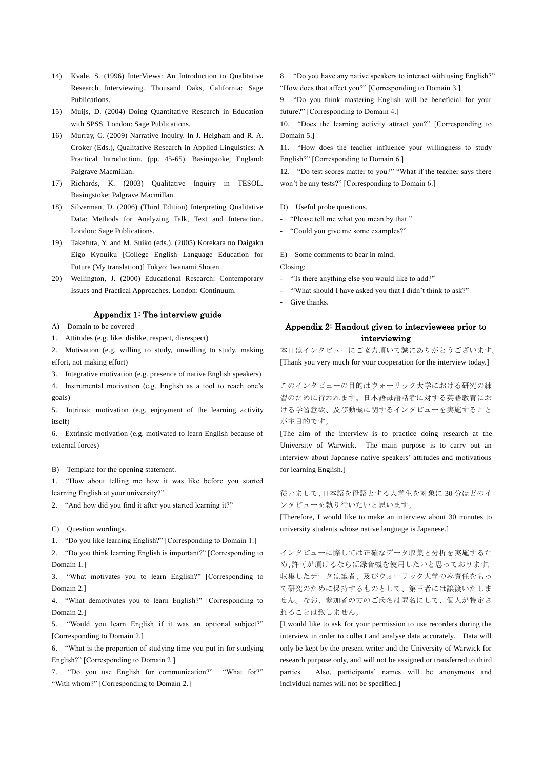- 14) Kvale, S. (1996) InterViews: An Introduction to Qualitative Research Interviewing. Thousand Oaks, California: Sage Publications.
- 15) Muijs, D. (2004) Doing Quantitative Research in Education with SPSS. London: Sage Publications.
- 16) Murray, G. (2009) Narrative Inquiry. In J. Heigham and R. A. Croker (Eds.), Qualitative Research in Applied Linguistics: A Practical Introduction. (pp. 45-65). Basingstoke, England: Palgrave Macmillan.
- 17) Richards, K. (2003) Qualitative Inquiry in TESOL. Basingstoke: Palgrave Macmillan.
- 18) Silverman, D. (2006) (Third Edition) Interpreting Qualitative Data: Methods for Analyzing Talk, Text and Interaction. London: Sage Publications.
- 19) Takefuta, Y. and M. Suiko (eds.). (2005) Korekara no Daigaku Eigo Kyouiku [College English Language Education for Future (My translation)] Tokyo: Iwanami Shoten.
- 20) Wellington, J. (2000) Educational Research: Contemporary Issues and Practical Approaches. London: Continuum.

### Appendix 1: The interview guide

A) Domain to be covered

1. Attitudes (e.g. like, dislike, respect, disrespect)

2. Motivation (e.g. willing to study, unwilling to study, making effort, not making effort)

3. Integrative motivation (e.g. presence of native English speakers)

4. Instrumental motivation (e.g. English as a tool to reach one's goals)

5. Intrinsic motivation (e.g. enjoyment of the learning activity itself)

6. Extrinsic motivation (e.g. motivated to learn English because of external forces)

B) Template for the opening statement.

1. "How about telling me how it was like before you started learning English at your university?"

2. "And how did you find it after you started learning it?"

#### C) Question wordings.

1. "Do you like learning English?" [Corresponding to Domain 1.]

2. "Do you think learning English is important?" [Corresponding to Domain 1.]

3. "What motivates you to learn English?" [Corresponding to Domain 2.]

4. "What demotivates you to learn English?" [Corresponding to Domain 2.]

5. "Would you learn English if it was an optional subject?" [Corresponding to Domain 2.]

6. "What is the proportion of studying time you put in for studying English?" [Corresponding to Domain 2.]

7. "Do you use English for communication?" "What for?" "With whom?" [Corresponding to Domain 2.]

8. "Do you have any native speakers to interact with using English?" "How does that affect you?" [Corresponding to Domain 3.]

9. "Do you think mastering English will be beneficial for your future?" [Corresponding to Domain 4.]

10. "Does the learning activity attract you?" [Corresponding to Domain 5.]

11. "How does the teacher influence your willingness to study English?" [Corresponding to Domain 6.]

12. "Do test scores matter to you?" "What if the teacher says there won't be any tests?" [Corresponding to Domain 6.]

D) Useful probe questions.

- "Please tell me what you mean by that."
- "Could you give me some examples?"

E) Some comments to bear in mind.

Closing:

- "'Is there anything else you would like to add?"
- "'What should I have asked you that I didn't think to ask?"
- Give thanks.

# Appendix 2: Handout given to interviewees prior to interviewing

本日はインタビューにご協力頂いて誠にありがとうございます。 [Thank you very much for your cooperation for the interview today.]

このインタビューの目的はウォーリック大学における研究の練 習のために行われます。日本語母語話者に対する英語教育にお ける学習意欲、及び動機に関するインタビューを実施すること が主目的です。

[The aim of the interview is to practice doing research at the University of Warwick. The main purpose is to carry out an interview about Japanese native speakers' attitudes and motivations for learning English.]

## 従いまして、日本語を母語とする大学生を対象に 30 分ほどのイ ンタビューを執り行いたいと思います。

[Therefore, I would like to make an interview about 30 minutes to university students whose native language is Japanese.]

インタビューに際しては正確なデータ収集と分析を実施するた め、許可が頂けるならば録音機を使用したいと思っております。 収集したデータは筆者、及びウォーリック大学のみ責任をもっ て研究のために保持するものとして、第三者には譲渡いたしま せん。なお、参加者の方のご氏名は匿名にして、個人が特定さ れることは致しません。

[I would like to ask for your permission to use recorders during the interview in order to collect and analyse data accurately. Data will only be kept by the present writer and the University of Warwick for research purpose only, and will not be assigned or transferred to third parties. Also, participants' names will be anonymous and individual names will not be specified.]